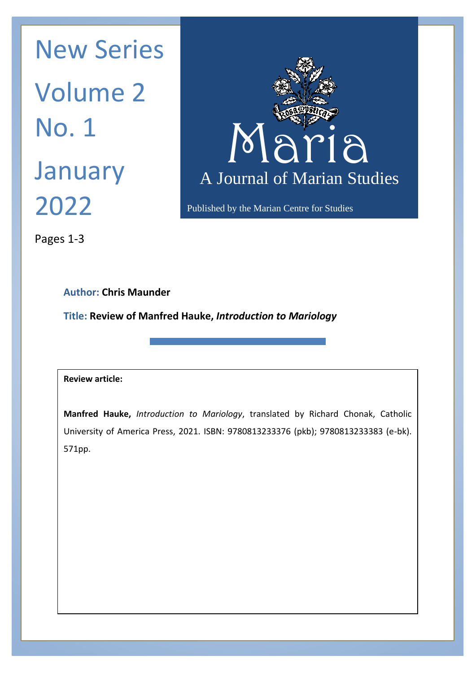Maria Maria N January A Journal New Series Volume 2 No. 1 2022



Published by the Marian Centre for Studies

Pages 1-3

## **Author: Chris Maunder**

**Title: Review of Manfred Hauke,** *Introduction to Mariology*

## **Review article:**

**Manfred Hauke,** *Introduction to Mariology*, translated by Richard Chonak, Catholic University of America Press, 2021. ISBN: 9780813233376 (pkb); 9780813233383 (e-bk). 571pp.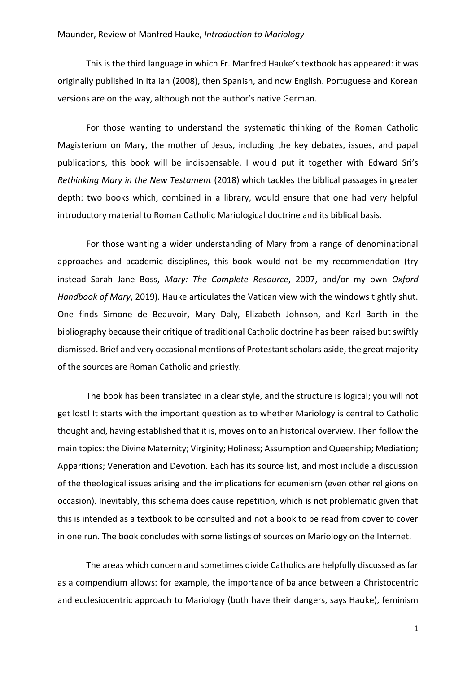## Maunder, Review of Manfred Hauke, *Introduction to Mariology*

This is the third language in which Fr. Manfred Hauke's textbook has appeared: it was originally published in Italian (2008), then Spanish, and now English. Portuguese and Korean versions are on the way, although not the author's native German.

For those wanting to understand the systematic thinking of the Roman Catholic Magisterium on Mary, the mother of Jesus, including the key debates, issues, and papal publications, this book will be indispensable. I would put it together with Edward Sri's *Rethinking Mary in the New Testament* (2018) which tackles the biblical passages in greater depth: two books which, combined in a library, would ensure that one had very helpful introductory material to Roman Catholic Mariological doctrine and its biblical basis.

For those wanting a wider understanding of Mary from a range of denominational approaches and academic disciplines, this book would not be my recommendation (try instead Sarah Jane Boss, *Mary: The Complete Resource*, 2007, and/or my own *Oxford Handbook of Mary*, 2019). Hauke articulates the Vatican view with the windows tightly shut. One finds Simone de Beauvoir, Mary Daly, Elizabeth Johnson, and Karl Barth in the bibliography because their critique of traditional Catholic doctrine has been raised but swiftly dismissed. Brief and very occasional mentions of Protestant scholars aside, the great majority of the sources are Roman Catholic and priestly.

The book has been translated in a clear style, and the structure is logical; you will not get lost! It starts with the important question as to whether Mariology is central to Catholic thought and, having established that it is, moves on to an historical overview. Then follow the main topics: the Divine Maternity; Virginity; Holiness; Assumption and Queenship; Mediation; Apparitions; Veneration and Devotion. Each has its source list, and most include a discussion of the theological issues arising and the implications for ecumenism (even other religions on occasion). Inevitably, this schema does cause repetition, which is not problematic given that this is intended as a textbook to be consulted and not a book to be read from cover to cover in one run. The book concludes with some listings of sources on Mariology on the Internet.

The areas which concern and sometimes divide Catholics are helpfully discussed as far as a compendium allows: for example, the importance of balance between a Christocentric and ecclesiocentric approach to Mariology (both have their dangers, says Hauke), feminism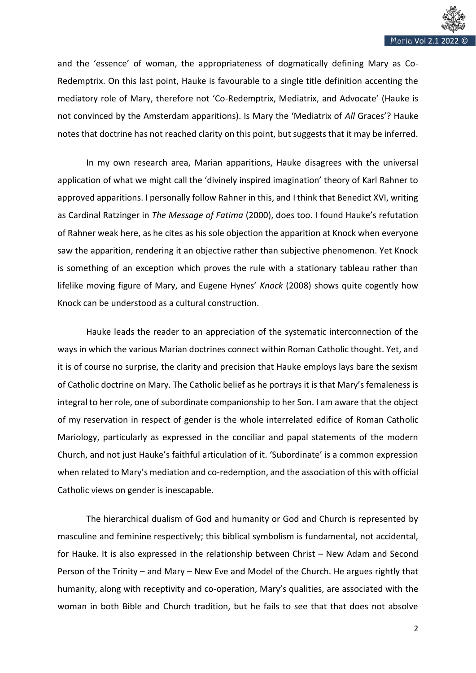

and the 'essence' of woman, the appropriateness of dogmatically defining Mary as Co-Redemptrix. On this last point, Hauke is favourable to a single title definition accenting the mediatory role of Mary, therefore not 'Co-Redemptrix, Mediatrix, and Advocate' (Hauke is not convinced by the Amsterdam apparitions). Is Mary the 'Mediatrix of *All* Graces'? Hauke notes that doctrine has not reached clarity on this point, but suggests that it may be inferred.

In my own research area, Marian apparitions, Hauke disagrees with the universal application of what we might call the 'divinely inspired imagination' theory of Karl Rahner to approved apparitions. I personally follow Rahner in this, and I think that Benedict XVI, writing as Cardinal Ratzinger in *The Message of Fatima* (2000), does too. I found Hauke's refutation of Rahner weak here, as he cites as his sole objection the apparition at Knock when everyone saw the apparition, rendering it an objective rather than subjective phenomenon. Yet Knock is something of an exception which proves the rule with a stationary tableau rather than lifelike moving figure of Mary, and Eugene Hynes' *Knock* (2008) shows quite cogently how Knock can be understood as a cultural construction.

Hauke leads the reader to an appreciation of the systematic interconnection of the ways in which the various Marian doctrines connect within Roman Catholic thought. Yet, and it is of course no surprise, the clarity and precision that Hauke employs lays bare the sexism of Catholic doctrine on Mary. The Catholic belief as he portrays it is that Mary's femaleness is integral to her role, one of subordinate companionship to her Son. I am aware that the object of my reservation in respect of gender is the whole interrelated edifice of Roman Catholic Mariology, particularly as expressed in the conciliar and papal statements of the modern Church, and not just Hauke's faithful articulation of it. 'Subordinate' is a common expression when related to Mary's mediation and co-redemption, and the association of this with official Catholic views on gender is inescapable.

The hierarchical dualism of God and humanity or God and Church is represented by masculine and feminine respectively; this biblical symbolism is fundamental, not accidental, for Hauke. It is also expressed in the relationship between Christ – New Adam and Second Person of the Trinity – and Mary – New Eve and Model of the Church. He argues rightly that humanity, along with receptivity and co-operation, Mary's qualities, are associated with the woman in both Bible and Church tradition, but he fails to see that that does not absolve